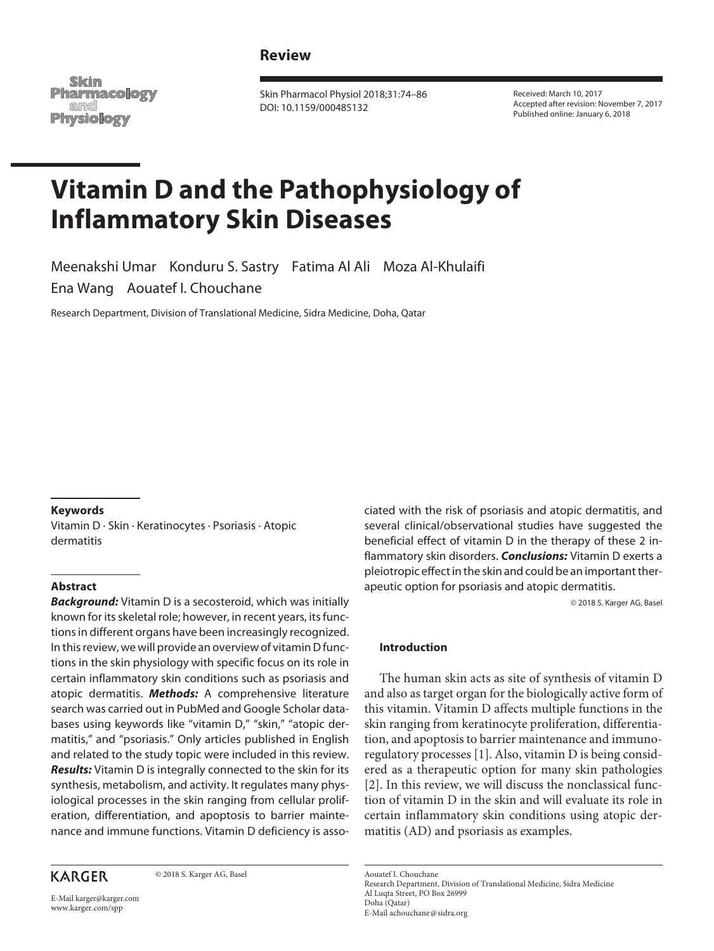## **Review**

Skim **Pharmacology** and Physiology

Skin Pharmacol Physiol 2018;31:74–86 DOI: 10.1159/000485132

Received: March 10, 2017 Accepted after revision: November 7, 2017 Published online: January 6, 2018

# **Vitamin D and the Pathophysiology of Inflammatory Skin Diseases**

Meenakshi Umar Konduru S. Sastry Fatima Al Ali Moza Al-Khulaifi Ena Wang Aouatef I. Chouchane

Research Department, Division of Translational Medicine, Sidra Medicine, Doha, Qatar

#### **Keywords**

Vitamin D · Skin · Keratinocytes · Psoriasis · Atopic dermatitis

## **Abstract**

*Background:* Vitamin D is a secosteroid, which was initially known for its skeletal role; however, in recent years, its functions in different organs have been increasingly recognized. In this review, we will provide an overview of vitamin D functions in the skin physiology with specific focus on its role in certain inflammatory skin conditions such as psoriasis and atopic dermatitis. *Methods:* A comprehensive literature search was carried out in PubMed and Google Scholar databases using keywords like "vitamin D," "skin," "atopic dermatitis," and "psoriasis." Only articles published in English and related to the study topic were included in this review. *Results:* Vitamin D is integrally connected to the skin for its synthesis, metabolism, and activity. It regulates many physiological processes in the skin ranging from cellular proliferation, differentiation, and apoptosis to barrier maintenance and immune functions. Vitamin D deficiency is asso-

## **KARGER**

© 2018 S. Karger AG, Basel

E-Mail karger@karger.com www.karger.com/spp

ciated with the risk of psoriasis and atopic dermatitis, and several clinical/observational studies have suggested the beneficial effect of vitamin D in the therapy of these 2 inflammatory skin disorders. *Conclusions:* Vitamin D exerts a pleiotropic effect in the skin and could be an important therapeutic option for psoriasis and atopic dermatitis.

© 2018 S. Karger AG, Basel

#### **Introduction**

The human skin acts as site of synthesis of vitamin D and also as target organ for the biologically active form of this vitamin. Vitamin D affects multiple functions in the skin ranging from keratinocyte proliferation, differentiation, and apoptosis to barrier maintenance and immunoregulatory processes [1]. Also, vitamin D is being considered as a therapeutic option for many skin pathologies [2]. In this review, we will discuss the nonclassical function of vitamin D in the skin and will evaluate its role in certain inflammatory skin conditions using atopic dermatitis (AD) and psoriasis as examples.

Aouatef I. Chouchane Research Department, Division of Translational Medicine, Sidra Medicine Al Luqta Street, PO Box 26999 Doha (Qatar) E-Mail achouchane@sidra.org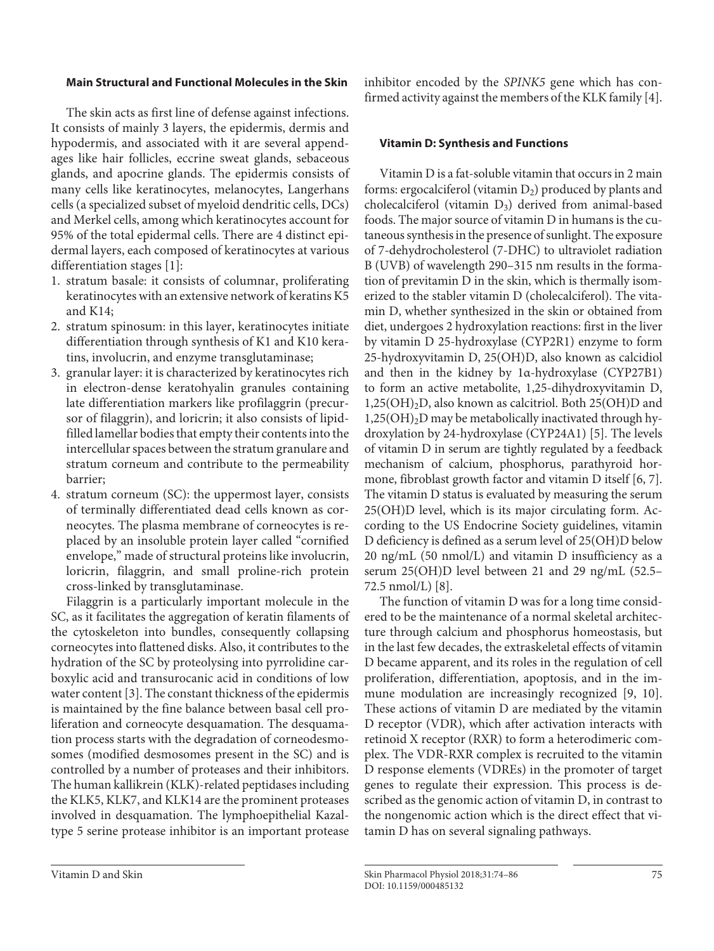#### **Main Structural and Functional Molecules in the Skin**

The skin acts as first line of defense against infections. It consists of mainly 3 layers, the epidermis, dermis and hypodermis, and associated with it are several appendages like hair follicles, eccrine sweat glands, sebaceous glands, and apocrine glands. The epidermis consists of many cells like keratinocytes, melanocytes, Langerhans cells (a specialized subset of myeloid dendritic cells, DCs) and Merkel cells, among which keratinocytes account for 95% of the total epidermal cells. There are 4 distinct epidermal layers, each composed of keratinocytes at various differentiation stages [1]:

- 1. stratum basale: it consists of columnar, proliferating keratinocytes with an extensive network of keratins K5 and K14;
- 2. stratum spinosum: in this layer, keratinocytes initiate differentiation through synthesis of K1 and K10 keratins, involucrin, and enzyme transglutaminase;
- 3. granular layer: it is characterized by keratinocytes rich in electron-dense keratohyalin granules containing late differentiation markers like profilaggrin (precursor of filaggrin), and loricrin; it also consists of lipidfilled lamellar bodies that empty their contents into the intercellular spaces between the stratum granulare and stratum corneum and contribute to the permeability barrier;
- 4. stratum corneum (SC): the uppermost layer, consists of terminally differentiated dead cells known as corneocytes. The plasma membrane of corneocytes is replaced by an insoluble protein layer called "cornified envelope," made of structural proteins like involucrin, loricrin, filaggrin, and small proline-rich protein cross-linked by transglutaminase.

Filaggrin is a particularly important molecule in the SC, as it facilitates the aggregation of keratin filaments of the cytoskeleton into bundles, consequently collapsing corneocytes into flattened disks. Also, it contributes to the hydration of the SC by proteolysing into pyrrolidine carboxylic acid and transurocanic acid in conditions of low water content [3]. The constant thickness of the epidermis is maintained by the fine balance between basal cell proliferation and corneocyte desquamation. The desquamation process starts with the degradation of corneodesmosomes (modified desmosomes present in the SC) and is controlled by a number of proteases and their inhibitors. The human kallikrein (KLK)-related peptidases including the KLK5, KLK7, and KLK14 are the prominent proteases involved in desquamation. The lymphoepithelial Kazaltype 5 serine protease inhibitor is an important protease

inhibitor encoded by the *SPINK5* gene which has confirmed activity against the members of the KLK family [4].

#### **Vitamin D: Synthesis and Functions**

Vitamin D is a fat-soluble vitamin that occurs in 2 main forms: ergocalciferol (vitamin  $D_2$ ) produced by plants and cholecalciferol (vitamin D3) derived from animal-based foods. The major source of vitamin D in humans is the cutaneous synthesis in the presence of sunlight. The exposure of 7-dehydrocholesterol (7-DHC) to ultraviolet radiation B (UVB) of wavelength 290–315 nm results in the formation of previtamin D in the skin, which is thermally isomerized to the stabler vitamin D (cholecalciferol). The vitamin D, whether synthesized in the skin or obtained from diet, undergoes 2 hydroxylation reactions: first in the liver by vitamin D 25-hydroxylase (CYP2R1) enzyme to form 25-hydroxyvitamin D, 25(OH)D, also known as calcidiol and then in the kidney by 1α-hydroxylase (CYP27B1) to form an active metabolite, 1,25-dihydroxyvitamin D, 1,25(OH)2D, also known as calcitriol. Both 25(OH)D and  $1,25(OH)<sub>2</sub>D$  may be metabolically inactivated through hydroxylation by 24-hydroxylase (CYP24A1) [5]. The levels of vitamin D in serum are tightly regulated by a feedback mechanism of calcium, phosphorus, parathyroid hormone, fibroblast growth factor and vitamin D itself [6, 7]. The vitamin D status is evaluated by measuring the serum 25(OH)D level, which is its major circulating form. According to the US Endocrine Society guidelines, vitamin D deficiency is defined as a serum level of 25(OH)D below 20 ng/mL (50 nmol/L) and vitamin D insufficiency as a serum 25(OH)D level between 21 and 29 ng/mL (52.5– 72.5 nmol/L) [8].

The function of vitamin D was for a long time considered to be the maintenance of a normal skeletal architecture through calcium and phosphorus homeostasis, but in the last few decades, the extraskeletal effects of vitamin D became apparent, and its roles in the regulation of cell proliferation, differentiation, apoptosis, and in the immune modulation are increasingly recognized [9, 10]. These actions of vitamin D are mediated by the vitamin D receptor (VDR), which after activation interacts with retinoid X receptor (RXR) to form a heterodimeric complex. The VDR-RXR complex is recruited to the vitamin D response elements (VDREs) in the promoter of target genes to regulate their expression. This process is described as the genomic action of vitamin D, in contrast to the nongenomic action which is the direct effect that vitamin D has on several signaling pathways.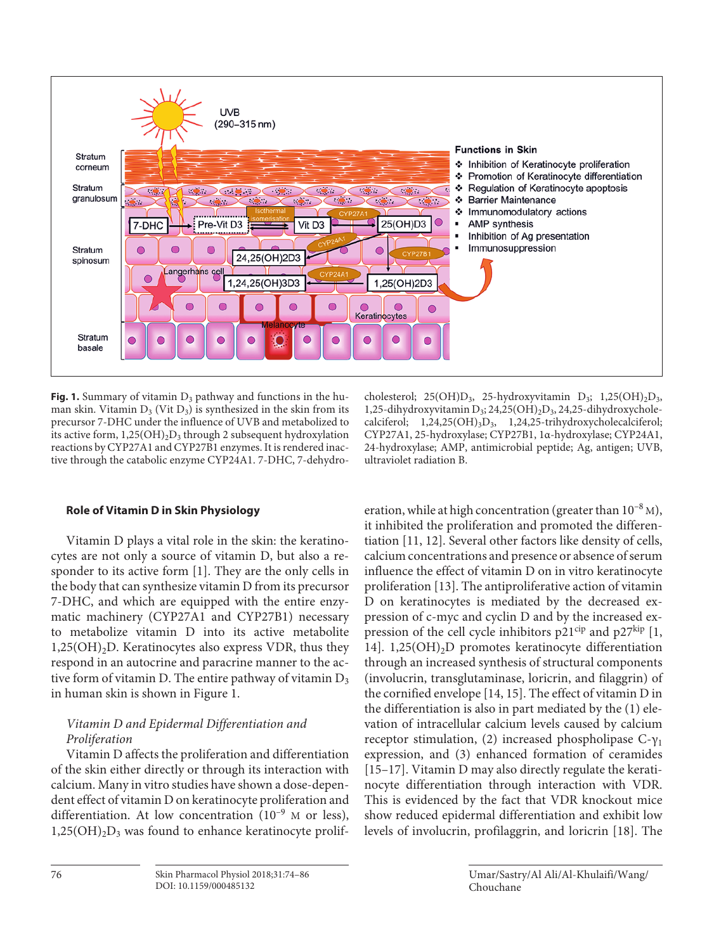

Fig. 1. Summary of vitamin D<sub>3</sub> pathway and functions in the human skin. Vitamin  $D_3$  (Vit  $D_3$ ) is synthesized in the skin from its precursor 7-DHC under the influence of UVB and metabolized to its active form,  $1,25(OH)_{2}D_{3}$  through 2 subsequent hydroxylation reactions by CYP27A1 and CYP27B1 enzymes. It is rendered inactive through the catabolic enzyme CYP24A1. 7-DHC, 7-dehydro-

#### **Role of Vitamin D in Skin Physiology**

Vitamin D plays a vital role in the skin: the keratinocytes are not only a source of vitamin D, but also a responder to its active form [1]. They are the only cells in the body that can synthesize vitamin D from its precursor 7-DHC, and which are equipped with the entire enzymatic machinery (CYP27A1 and CYP27B1) necessary to metabolize vitamin D into its active metabolite  $1,25(OH)<sub>2</sub>D$ . Keratinocytes also express VDR, thus they respond in an autocrine and paracrine manner to the active form of vitamin D. The entire pathway of vitamin  $D_3$ in human skin is shown in Figure 1.

# *Vitamin D and Epidermal Differentiation and Proliferation*

Vitamin D affects the proliferation and differentiation of the skin either directly or through its interaction with calcium. Many in vitro studies have shown a dose-dependent effect of vitamin D on keratinocyte proliferation and differentiation. At low concentration  $(10^{-9}$  M or less),  $1,25(OH)<sub>2</sub>D<sub>3</sub>$  was found to enhance keratinocyte prolif-

cholesterol; 25(OH) $D_3$ , 25-hydroxyvitamin  $D_3$ ; 1,25(OH)<sub>2</sub> $D_3$ , 1,25-dihydroxyvitamin  $D_3$ ; 24,25(OH)<sub>2</sub>D<sub>3</sub>, 24,25-dihydroxycholecalciferol; 1,24,25(OH)<sub>3</sub>D<sub>3</sub>, 1,24,25-trihydroxycholecalciferol; CYP27A1, 25-hydroxylase; CYP27B1, 1α-hydroxylase; CYP24A1, 24-hydroxylase; AMP, antimicrobial peptide; Ag, antigen; UVB, ultraviolet radiation B.

eration, while at high concentration (greater than  $10^{-8}$  M), it inhibited the proliferation and promoted the differentiation [11, 12]. Several other factors like density of cells, calcium concentrations and presence or absence of serum influence the effect of vitamin D on in vitro keratinocyte proliferation [13]. The antiproliferative action of vitamin D on keratinocytes is mediated by the decreased expression of c-myc and cyclin D and by the increased expression of the cell cycle inhibitors  $p21^{cip}$  and  $p27^{kip}$  [1, 14]. 1,25(OH)2D promotes keratinocyte differentiation through an increased synthesis of structural components (involucrin, transglutaminase, loricrin, and filaggrin) of the cornified envelope [14, 15]. The effect of vitamin D in the differentiation is also in part mediated by the (1) elevation of intracellular calcium levels caused by calcium receptor stimulation, (2) increased phospholipase  $C-y_1$ expression, and (3) enhanced formation of ceramides [15–17]. Vitamin D may also directly regulate the keratinocyte differentiation through interaction with VDR. This is evidenced by the fact that VDR knockout mice show reduced epidermal differentiation and exhibit low levels of involucrin, profilaggrin, and loricrin [18]. The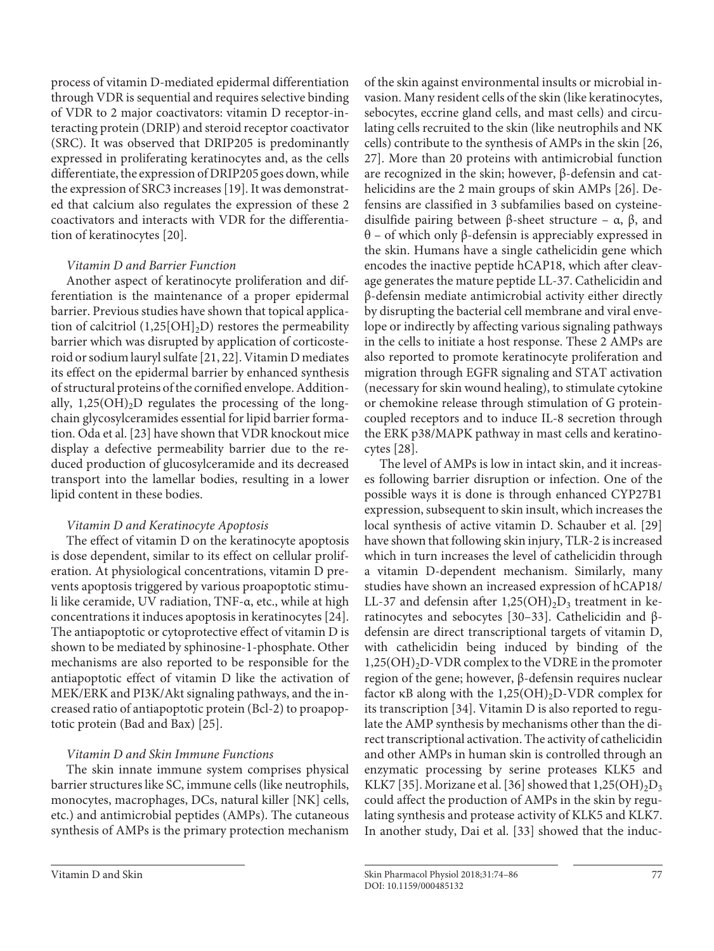process of vitamin D-mediated epidermal differentiation through VDR is sequential and requires selective binding of VDR to 2 major coactivators: vitamin D receptor-interacting protein (DRIP) and steroid receptor coactivator (SRC). It was observed that DRIP205 is predominantly expressed in proliferating keratinocytes and, as the cells differentiate, the expression of DRIP205 goes down, while the expression of SRC3 increases [19]. It was demonstrated that calcium also regulates the expression of these 2 coactivators and interacts with VDR for the differentiation of keratinocytes [20].

## *Vitamin D and Barrier Function*

Another aspect of keratinocyte proliferation and differentiation is the maintenance of a proper epidermal barrier. Previous studies have shown that topical application of calcitriol  $(1,25[OH]_2D)$  restores the permeability barrier which was disrupted by application of corticosteroid or sodium lauryl sulfate [21, 22]. Vitamin D mediates its effect on the epidermal barrier by enhanced synthesis of structural proteins of the cornified envelope. Additionally,  $1,25(OH)<sub>2</sub>D$  regulates the processing of the longchain glycosylceramides essential for lipid barrier formation. Oda et al. [23] have shown that VDR knockout mice display a defective permeability barrier due to the reduced production of glucosylceramide and its decreased transport into the lamellar bodies, resulting in a lower lipid content in these bodies.

# *Vitamin D and Keratinocyte Apoptosis*

The effect of vitamin D on the keratinocyte apoptosis is dose dependent, similar to its effect on cellular proliferation. At physiological concentrations, vitamin D prevents apoptosis triggered by various proapoptotic stimuli like ceramide, UV radiation, TNF-α, etc., while at high concentrations it induces apoptosis in keratinocytes [24]. The antiapoptotic or cytoprotective effect of vitamin D is shown to be mediated by sphinosine-1-phosphate. Other mechanisms are also reported to be responsible for the antiapoptotic effect of vitamin D like the activation of MEK/ERK and PI3K/Akt signaling pathways, and the increased ratio of antiapoptotic protein (Bcl-2) to proapoptotic protein (Bad and Bax) [25].

# *Vitamin D and Skin Immune Functions*

The skin innate immune system comprises physical barrier structures like SC, immune cells (like neutrophils, monocytes, macrophages, DCs, natural killer [NK] cells, etc.) and antimicrobial peptides (AMPs). The cutaneous synthesis of AMPs is the primary protection mechanism of the skin against environmental insults or microbial invasion. Many resident cells of the skin (like keratinocytes, sebocytes, eccrine gland cells, and mast cells) and circulating cells recruited to the skin (like neutrophils and NK cells) contribute to the synthesis of AMPs in the skin [26, 27]. More than 20 proteins with antimicrobial function are recognized in the skin; however, β-defensin and cathelicidins are the 2 main groups of skin AMPs [26]. Defensins are classified in 3 subfamilies based on cysteinedisulfide pairing between  $\beta$ -sheet structure – α,  $\beta$ , and θ – of which only β-defensin is appreciably expressed in the skin. Humans have a single cathelicidin gene which encodes the inactive peptide hCAP18, which after cleavage generates the mature peptide LL-37. Cathelicidin and β-defensin mediate antimicrobial activity either directly by disrupting the bacterial cell membrane and viral envelope or indirectly by affecting various signaling pathways in the cells to initiate a host response. These 2 AMPs are also reported to promote keratinocyte proliferation and migration through EGFR signaling and STAT activation (necessary for skin wound healing), to stimulate cytokine or chemokine release through stimulation of G proteincoupled receptors and to induce IL-8 secretion through the ERK p38/MAPK pathway in mast cells and keratinocytes [28].

The level of AMPs is low in intact skin, and it increases following barrier disruption or infection. One of the possible ways it is done is through enhanced CYP27B1 expression, subsequent to skin insult, which increases the local synthesis of active vitamin D. Schauber et al. [29] have shown that following skin injury, TLR-2 is increased which in turn increases the level of cathelicidin through a vitamin D-dependent mechanism. Similarly, many studies have shown an increased expression of hCAP18/ LL-37 and defensin after  $1,25(OH)_2D_3$  treatment in keratinocytes and sebocytes [30–33]. Cathelicidin and βdefensin are direct transcriptional targets of vitamin D, with cathelicidin being induced by binding of the  $1,25(OH)<sub>2</sub>D-VDR$  complex to the VDRE in the promoter region of the gene; however, β-defensin requires nuclear factor  $\kappa$ B along with the 1,25(OH)<sub>2</sub>D-VDR complex for its transcription [34]. Vitamin D is also reported to regulate the AMP synthesis by mechanisms other than the direct transcriptional activation. The activity of cathelicidin and other AMPs in human skin is controlled through an enzymatic processing by serine proteases KLK5 and KLK7 [35]. Morizane et al. [36] showed that  $1,25(OH)_{2}D_{3}$ could affect the production of AMPs in the skin by regulating synthesis and protease activity of KLK5 and KLK7. In another study, Dai et al. [33] showed that the induc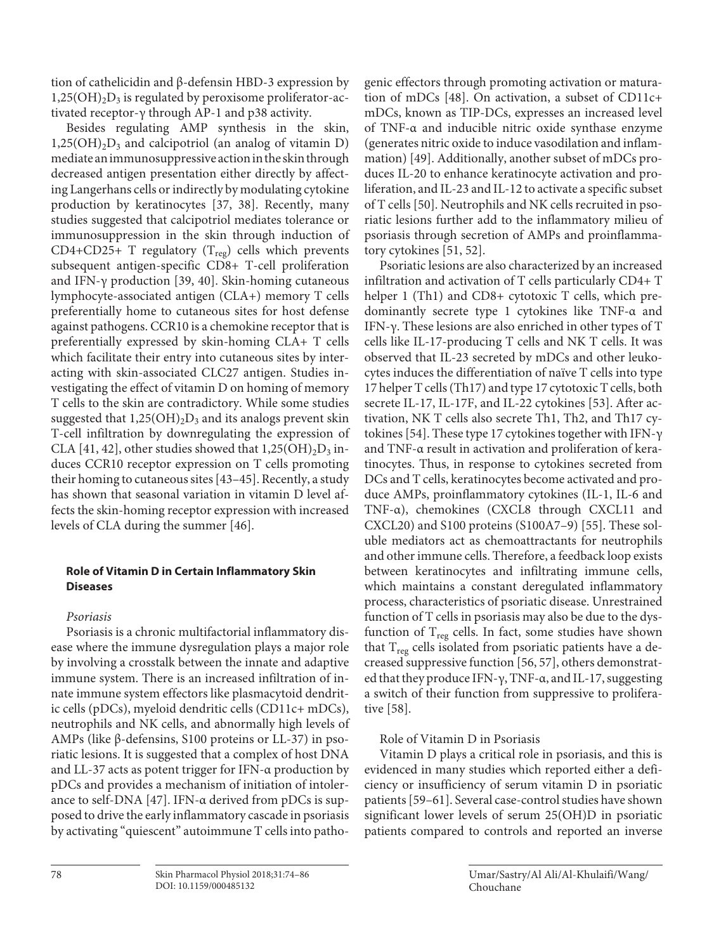tion of cathelicidin and β-defensin HBD-3 expression by  $1,25(OH)<sub>2</sub>D<sub>3</sub>$  is regulated by peroxisome proliferator-activated receptor-γ through AP-1 and p38 activity.

Besides regulating AMP synthesis in the skin,  $1,25(OH)<sub>2</sub>D<sub>3</sub>$  and calcipotriol (an analog of vitamin D) mediate an immunosuppressive action in the skin through decreased antigen presentation either directly by affecting Langerhans cells or indirectly by modulating cytokine production by keratinocytes [37, 38]. Recently, many studies suggested that calcipotriol mediates tolerance or immunosuppression in the skin through induction of CD4+CD25+ T regulatory ( $T_{reg}$ ) cells which prevents subsequent antigen-specific CD8+ T-cell proliferation and IFN-γ production [39, 40]. Skin-homing cutaneous lymphocyte-associated antigen (CLA+) memory T cells preferentially home to cutaneous sites for host defense against pathogens. CCR10 is a chemokine receptor that is preferentially expressed by skin-homing CLA+ T cells which facilitate their entry into cutaneous sites by interacting with skin-associated CLC27 antigen. Studies investigating the effect of vitamin D on homing of memory T cells to the skin are contradictory. While some studies suggested that  $1,25(OH)_2D_3$  and its analogs prevent skin T-cell infiltration by downregulating the expression of CLA [41, 42], other studies showed that  $1,25(OH)_2D_3$  induces CCR10 receptor expression on T cells promoting their homing to cutaneous sites [43–45]. Recently, a study has shown that seasonal variation in vitamin D level affects the skin-homing receptor expression with increased levels of CLA during the summer [46].

## **Role of Vitamin D in Certain Inflammatory Skin Diseases**

# *Psoriasis*

Psoriasis is a chronic multifactorial inflammatory disease where the immune dysregulation plays a major role by involving a crosstalk between the innate and adaptive immune system. There is an increased infiltration of innate immune system effectors like plasmacytoid dendritic cells (pDCs), myeloid dendritic cells (CD11c+ mDCs), neutrophils and NK cells, and abnormally high levels of AMPs (like β-defensins, S100 proteins or LL-37) in psoriatic lesions. It is suggested that a complex of host DNA and LL-37 acts as potent trigger for IFN-α production by pDCs and provides a mechanism of initiation of intolerance to self-DNA [47]. IFN-α derived from pDCs is supposed to drive the early inflammatory cascade in psoriasis by activating "quiescent" autoimmune T cells into pathogenic effectors through promoting activation or maturation of mDCs [48]. On activation, a subset of CD11c+ mDCs, known as TIP-DCs, expresses an increased level of TNF-α and inducible nitric oxide synthase enzyme (generates nitric oxide to induce vasodilation and inflammation) [49]. Additionally, another subset of mDCs produces IL-20 to enhance keratinocyte activation and proliferation, and IL-23 and IL-12 to activate a specific subset of T cells [50]. Neutrophils and NK cells recruited in psoriatic lesions further add to the inflammatory milieu of psoriasis through secretion of AMPs and proinflammatory cytokines [51, 52].

Psoriatic lesions are also characterized by an increased infiltration and activation of T cells particularly CD4+ T helper 1 (Th1) and CD8+ cytotoxic T cells, which predominantly secrete type 1 cytokines like TNF-α and IFN-γ. These lesions are also enriched in other types of T cells like IL-17-producing T cells and NK T cells. It was observed that IL-23 secreted by mDCs and other leukocytes induces the differentiation of naïve T cells into type 17 helper T cells (Th17) and type 17 cytotoxic T cells, both secrete IL-17, IL-17F, and IL-22 cytokines [53]. After activation, NK T cells also secrete Th1, Th2, and Th17 cytokines [54]. These type 17 cytokines together with IFN-γ and TNF-α result in activation and proliferation of keratinocytes. Thus, in response to cytokines secreted from DCs and T cells, keratinocytes become activated and produce AMPs, proinflammatory cytokines (IL-1, IL-6 and TNF-α), chemokines (CXCL8 through CXCL11 and CXCL20) and S100 proteins (S100A7–9) [55]. These soluble mediators act as chemoattractants for neutrophils and other immune cells. Therefore, a feedback loop exists between keratinocytes and infiltrating immune cells, which maintains a constant deregulated inflammatory process, characteristics of psoriatic disease. Unrestrained function of T cells in psoriasis may also be due to the dysfunction of  $T_{reg}$  cells. In fact, some studies have shown that  $T_{reg}$  cells isolated from psoriatic patients have a decreased suppressive function [56, 57], others demonstrated that they produce IFN-γ, TNF-α, and IL-17, suggesting a switch of their function from suppressive to proliferative [58].

# Role of Vitamin D in Psoriasis

Vitamin D plays a critical role in psoriasis, and this is evidenced in many studies which reported either a deficiency or insufficiency of serum vitamin D in psoriatic patients [59–61]. Several case-control studies have shown significant lower levels of serum 25(OH)D in psoriatic patients compared to controls and reported an inverse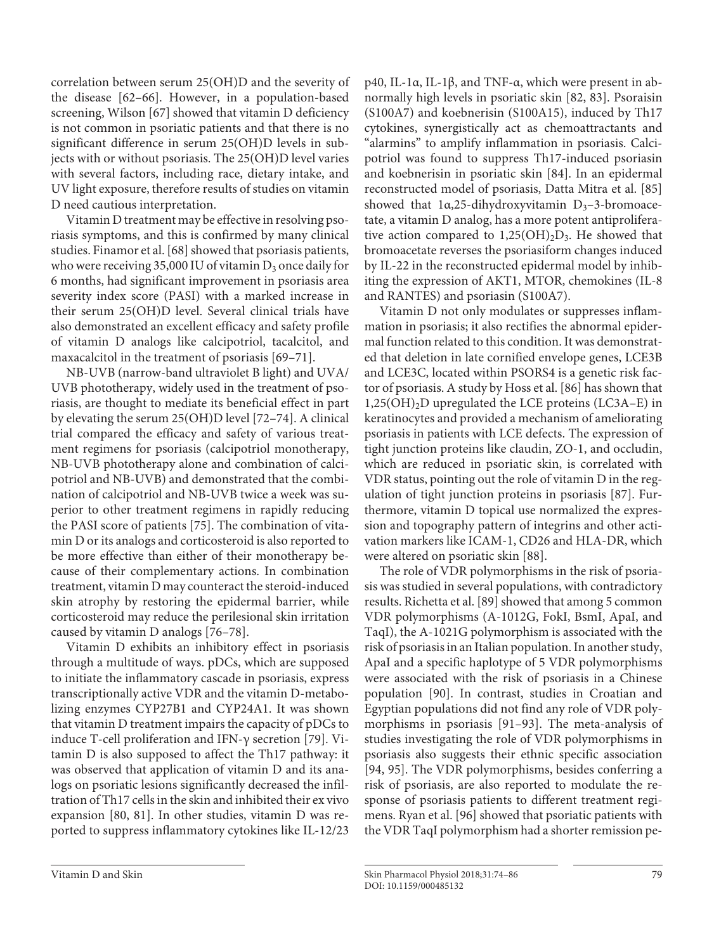correlation between serum 25(OH)D and the severity of the disease [62–66]. However, in a population-based screening, Wilson [67] showed that vitamin D deficiency is not common in psoriatic patients and that there is no significant difference in serum 25(OH)D levels in subjects with or without psoriasis. The 25(OH)D level varies with several factors, including race, dietary intake, and UV light exposure, therefore results of studies on vitamin D need cautious interpretation.

Vitamin D treatment may be effective in resolving psoriasis symptoms, and this is confirmed by many clinical studies. Finamor et al. [68] showed that psoriasis patients, who were receiving 35,000 IU of vitamin  $D_3$  once daily for 6 months, had significant improvement in psoriasis area severity index score (PASI) with a marked increase in their serum 25(OH)D level. Several clinical trials have also demonstrated an excellent efficacy and safety profile of vitamin D analogs like calcipotriol, tacalcitol, and maxacalcitol in the treatment of psoriasis [69–71].

NB-UVB (narrow-band ultraviolet B light) and UVA/ UVB phototherapy, widely used in the treatment of psoriasis, are thought to mediate its beneficial effect in part by elevating the serum 25(OH)D level [72–74]. A clinical trial compared the efficacy and safety of various treatment regimens for psoriasis (calcipotriol monotherapy, NB-UVB phototherapy alone and combination of calcipotriol and NB-UVB) and demonstrated that the combination of calcipotriol and NB-UVB twice a week was superior to other treatment regimens in rapidly reducing the PASI score of patients [75]. The combination of vitamin D or its analogs and corticosteroid is also reported to be more effective than either of their monotherapy because of their complementary actions. In combination treatment, vitamin D may counteract the steroid-induced skin atrophy by restoring the epidermal barrier, while corticosteroid may reduce the perilesional skin irritation caused by vitamin D analogs [76–78].

Vitamin D exhibits an inhibitory effect in psoriasis through a multitude of ways. pDCs, which are supposed to initiate the inflammatory cascade in psoriasis, express transcriptionally active VDR and the vitamin D-metabolizing enzymes CYP27B1 and CYP24A1. It was shown that vitamin D treatment impairs the capacity of pDCs to induce T-cell proliferation and IFN-γ secretion [79]. Vitamin D is also supposed to affect the Th17 pathway: it was observed that application of vitamin D and its analogs on psoriatic lesions significantly decreased the infiltration of Th17 cells in the skin and inhibited their ex vivo expansion [80, 81]. In other studies, vitamin D was reported to suppress inflammatory cytokines like IL-12/23

Vitamin D not only modulates or suppresses inflammation in psoriasis; it also rectifies the abnormal epidermal function related to this condition. It was demonstrated that deletion in late cornified envelope genes, LCE3B and LCE3C, located within PSORS4 is a genetic risk factor of psoriasis. A study by Hoss et al. [86] has shown that 1,25(OH)2D upregulated the LCE proteins (LC3A–E) in keratinocytes and provided a mechanism of ameliorating psoriasis in patients with LCE defects. The expression of tight junction proteins like claudin, ZO-1, and occludin, which are reduced in psoriatic skin, is correlated with VDR status, pointing out the role of vitamin D in the regulation of tight junction proteins in psoriasis [87]. Furthermore, vitamin D topical use normalized the expression and topography pattern of integrins and other activation markers like ICAM-1, CD26 and HLA-DR, which were altered on psoriatic skin [88].

The role of VDR polymorphisms in the risk of psoriasis was studied in several populations, with contradictory results. Richetta et al. [89] showed that among 5 common VDR polymorphisms (A-1012G, FokI, BsmI, ApaI, and TaqI), the A-1021G polymorphism is associated with the risk of psoriasis in an Italian population. In another study, ApaI and a specific haplotype of 5 VDR polymorphisms were associated with the risk of psoriasis in a Chinese population [90]. In contrast, studies in Croatian and Egyptian populations did not find any role of VDR polymorphisms in psoriasis [91–93]. The meta-analysis of studies investigating the role of VDR polymorphisms in psoriasis also suggests their ethnic specific association [94, 95]. The VDR polymorphisms, besides conferring a risk of psoriasis, are also reported to modulate the response of psoriasis patients to different treatment regimens. Ryan et al. [96] showed that psoriatic patients with the VDR TaqI polymorphism had a shorter remission pe-

p40, IL-1α, IL-1β, and TNF-α, which were present in abnormally high levels in psoriatic skin [82, 83]. Psoraisin (S100A7) and koebnerisin (S100A15), induced by Th17 cytokines, synergistically act as chemoattractants and "alarmins" to amplify inflammation in psoriasis. Calcipotriol was found to suppress Th17-induced psoriasin and koebnerisin in psoriatic skin [84]. In an epidermal reconstructed model of psoriasis, Datta Mitra et al. [85] showed that  $1\alpha,25$ -dihydroxyvitamin D<sub>3</sub>-3-bromoacetate, a vitamin D analog, has a more potent antiproliferative action compared to  $1,25(OH)_2D_3$ . He showed that bromoacetate reverses the psoriasiform changes induced by IL-22 in the reconstructed epidermal model by inhibiting the expression of AKT1, MTOR, chemokines (IL-8 and RANTES) and psoriasin (S100A7).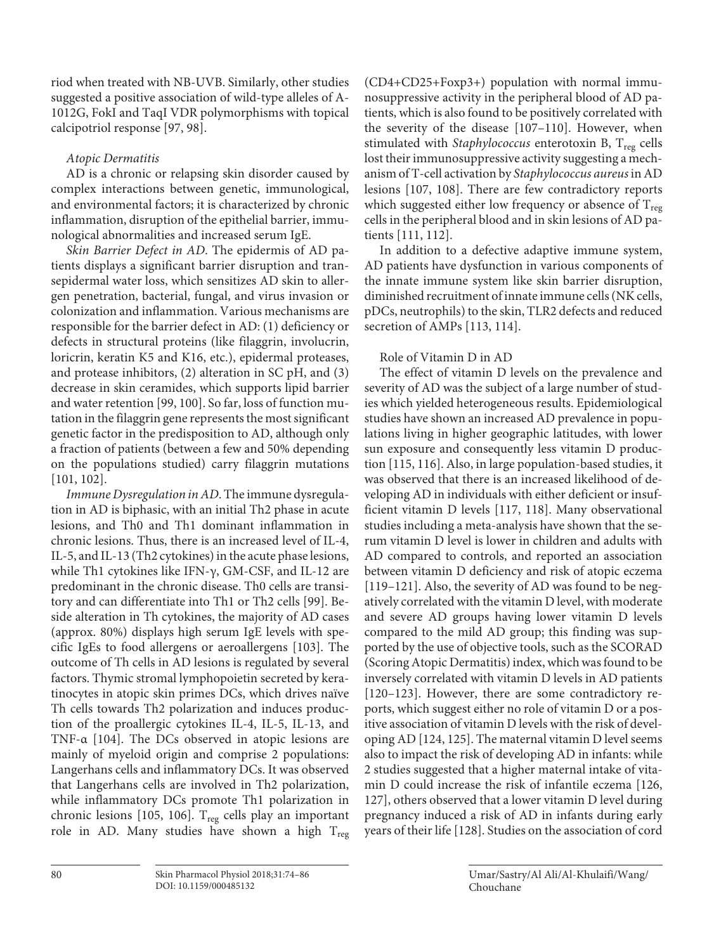riod when treated with NB-UVB. Similarly, other studies suggested a positive association of wild-type alleles of A-1012G, FokI and TaqI VDR polymorphisms with topical calcipotriol response [97, 98].

## *Atopic Dermatitis*

AD is a chronic or relapsing skin disorder caused by complex interactions between genetic, immunological, and environmental factors; it is characterized by chronic inflammation, disruption of the epithelial barrier, immunological abnormalities and increased serum IgE.

*Skin Barrier Defect in AD*. The epidermis of AD patients displays a significant barrier disruption and transepidermal water loss, which sensitizes AD skin to allergen penetration, bacterial, fungal, and virus invasion or colonization and inflammation. Various mechanisms are responsible for the barrier defect in AD: (1) deficiency or defects in structural proteins (like filaggrin, involucrin, loricrin, keratin K5 and K16, etc.), epidermal proteases, and protease inhibitors, (2) alteration in SC pH, and (3) decrease in skin ceramides, which supports lipid barrier and water retention [99, 100]. So far, loss of function mutation in the filaggrin gene represents the most significant genetic factor in the predisposition to AD, although only a fraction of patients (between a few and 50% depending on the populations studied) carry filaggrin mutations [101, 102].

*Immune Dysregulation in AD*. The immune dysregulation in AD is biphasic, with an initial Th2 phase in acute lesions, and Th0 and Th1 dominant inflammation in chronic lesions. Thus, there is an increased level of IL-4, IL-5, and IL-13 (Th2 cytokines) in the acute phase lesions, while Th1 cytokines like IFN-γ, GM-CSF, and IL-12 are predominant in the chronic disease. Th0 cells are transitory and can differentiate into Th1 or Th2 cells [99]. Beside alteration in Th cytokines, the majority of AD cases (approx. 80%) displays high serum IgE levels with specific IgEs to food allergens or aeroallergens [103]. The outcome of Th cells in AD lesions is regulated by several factors. Thymic stromal lymphopoietin secreted by keratinocytes in atopic skin primes DCs, which drives naïve Th cells towards Th2 polarization and induces production of the proallergic cytokines IL-4, IL-5, IL-13, and TNF-α [104]. The DCs observed in atopic lesions are mainly of myeloid origin and comprise 2 populations: Langerhans cells and inflammatory DCs. It was observed that Langerhans cells are involved in Th2 polarization, while inflammatory DCs promote Th1 polarization in chronic lesions [105, 106].  $T_{reg}$  cells play an important role in AD. Many studies have shown a high  $T_{reg}$ 

(CD4+CD25+Foxp3+) population with normal immunosuppressive activity in the peripheral blood of AD patients, which is also found to be positively correlated with the severity of the disease [107–110]. However, when stimulated with *Staphylococcus* enterotoxin B, T<sub>reg</sub> cells lost their immunosuppressive activity suggesting a mechanism of T-cell activation by *Staphylococcus aureus* in AD lesions [107, 108]. There are few contradictory reports which suggested either low frequency or absence of  $T_{\text{reg}}$ cells in the peripheral blood and in skin lesions of AD patients [111, 112].

In addition to a defective adaptive immune system, AD patients have dysfunction in various components of the innate immune system like skin barrier disruption, diminished recruitment of innate immune cells (NK cells, pDCs, neutrophils) to the skin, TLR2 defects and reduced secretion of AMPs [113, 114].

# Role of Vitamin D in AD

The effect of vitamin D levels on the prevalence and severity of AD was the subject of a large number of studies which yielded heterogeneous results. Epidemiological studies have shown an increased AD prevalence in populations living in higher geographic latitudes, with lower sun exposure and consequently less vitamin D production [115, 116]. Also, in large population-based studies, it was observed that there is an increased likelihood of developing AD in individuals with either deficient or insufficient vitamin D levels [117, 118]. Many observational studies including a meta-analysis have shown that the serum vitamin D level is lower in children and adults with AD compared to controls, and reported an association between vitamin D deficiency and risk of atopic eczema [119–121]. Also, the severity of AD was found to be negatively correlated with the vitamin D level, with moderate and severe AD groups having lower vitamin D levels compared to the mild AD group; this finding was supported by the use of objective tools, such as the SCORAD (Scoring Atopic Dermatitis) index, which was found to be inversely correlated with vitamin D levels in AD patients [120–123]. However, there are some contradictory reports, which suggest either no role of vitamin D or a positive association of vitamin D levels with the risk of developing AD [124, 125]. The maternal vitamin D level seems also to impact the risk of developing AD in infants: while 2 studies suggested that a higher maternal intake of vitamin D could increase the risk of infantile eczema [126, 127], others observed that a lower vitamin D level during pregnancy induced a risk of AD in infants during early years of their life [128]. Studies on the association of cord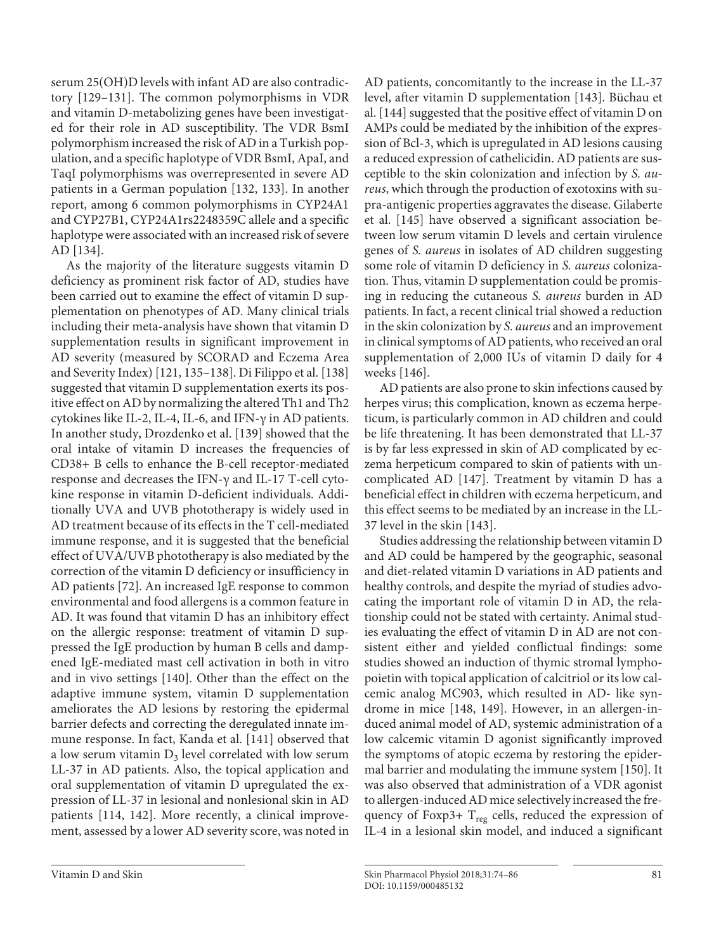serum 25(OH)D levels with infant AD are also contradictory [129–131]. The common polymorphisms in VDR and vitamin D-metabolizing genes have been investigated for their role in AD susceptibility. The VDR BsmI polymorphism increased the risk of AD in a Turkish population, and a specific haplotype of VDR BsmI, ApaI, and TaqI polymorphisms was overrepresented in severe AD patients in a German population [132, 133]. In another report, among 6 common polymorphisms in CYP24A1 and CYP27B1, CYP24A1rs2248359C allele and a specific haplotype were associated with an increased risk of severe AD [134].

As the majority of the literature suggests vitamin D deficiency as prominent risk factor of AD, studies have been carried out to examine the effect of vitamin D supplementation on phenotypes of AD. Many clinical trials including their meta-analysis have shown that vitamin D supplementation results in significant improvement in AD severity (measured by SCORAD and Eczema Area and Severity Index) [121, 135–138]. Di Filippo et al. [138] suggested that vitamin D supplementation exerts its positive effect on AD by normalizing the altered Th1 and Th2 cytokines like IL-2, IL-4, IL-6, and IFN-γ in AD patients. In another study, Drozdenko et al. [139] showed that the oral intake of vitamin D increases the frequencies of CD38+ B cells to enhance the B-cell receptor-mediated response and decreases the IFN-γ and IL-17 T-cell cytokine response in vitamin D-deficient individuals. Additionally UVA and UVB phototherapy is widely used in AD treatment because of its effects in the T cell-mediated immune response, and it is suggested that the beneficial effect of UVA/UVB phototherapy is also mediated by the correction of the vitamin D deficiency or insufficiency in AD patients [72]. An increased IgE response to common environmental and food allergens is a common feature in AD. It was found that vitamin D has an inhibitory effect on the allergic response: treatment of vitamin D suppressed the IgE production by human B cells and dampened IgE-mediated mast cell activation in both in vitro and in vivo settings [140]. Other than the effect on the adaptive immune system, vitamin D supplementation ameliorates the AD lesions by restoring the epidermal barrier defects and correcting the deregulated innate immune response. In fact, Kanda et al. [141] observed that a low serum vitamin  $D_3$  level correlated with low serum LL-37 in AD patients. Also, the topical application and oral supplementation of vitamin D upregulated the expression of LL-37 in lesional and nonlesional skin in AD patients [114, 142]. More recently, a clinical improvement, assessed by a lower AD severity score, was noted in

AD patients, concomitantly to the increase in the LL-37 level, after vitamin D supplementation [143]. Büchau et al. [144] suggested that the positive effect of vitamin D on AMPs could be mediated by the inhibition of the expression of Bcl-3, which is upregulated in AD lesions causing a reduced expression of cathelicidin. AD patients are susceptible to the skin colonization and infection by *S. aureus*, which through the production of exotoxins with supra-antigenic properties aggravates the disease. Gilaberte et al. [145] have observed a significant association between low serum vitamin D levels and certain virulence genes of *S. aureus* in isolates of AD children suggesting some role of vitamin D deficiency in *S. aureus* colonization. Thus, vitamin D supplementation could be promising in reducing the cutaneous *S. aureus* burden in AD patients. In fact, a recent clinical trial showed a reduction in the skin colonization by *S. aureus* and an improvement in clinical symptoms of AD patients, who received an oral supplementation of 2,000 IUs of vitamin D daily for 4 weeks [146].

AD patients are also prone to skin infections caused by herpes virus; this complication, known as eczema herpeticum, is particularly common in AD children and could be life threatening. It has been demonstrated that LL-37 is by far less expressed in skin of AD complicated by eczema herpeticum compared to skin of patients with uncomplicated AD [147]. Treatment by vitamin D has a beneficial effect in children with eczema herpeticum, and this effect seems to be mediated by an increase in the LL-37 level in the skin [143].

Studies addressing the relationship between vitamin D and AD could be hampered by the geographic, seasonal and diet-related vitamin D variations in AD patients and healthy controls, and despite the myriad of studies advocating the important role of vitamin D in AD, the relationship could not be stated with certainty. Animal studies evaluating the effect of vitamin D in AD are not consistent either and yielded conflictual findings: some studies showed an induction of thymic stromal lymphopoietin with topical application of calcitriol or its low calcemic analog MC903, which resulted in AD- like syndrome in mice [148, 149]. However, in an allergen-induced animal model of AD, systemic administration of a low calcemic vitamin D agonist significantly improved the symptoms of atopic eczema by restoring the epidermal barrier and modulating the immune system [150]. It was also observed that administration of a VDR agonist to allergen-induced AD mice selectively increased the frequency of Foxp3+  $T_{reg}$  cells, reduced the expression of IL-4 in a lesional skin model, and induced a significant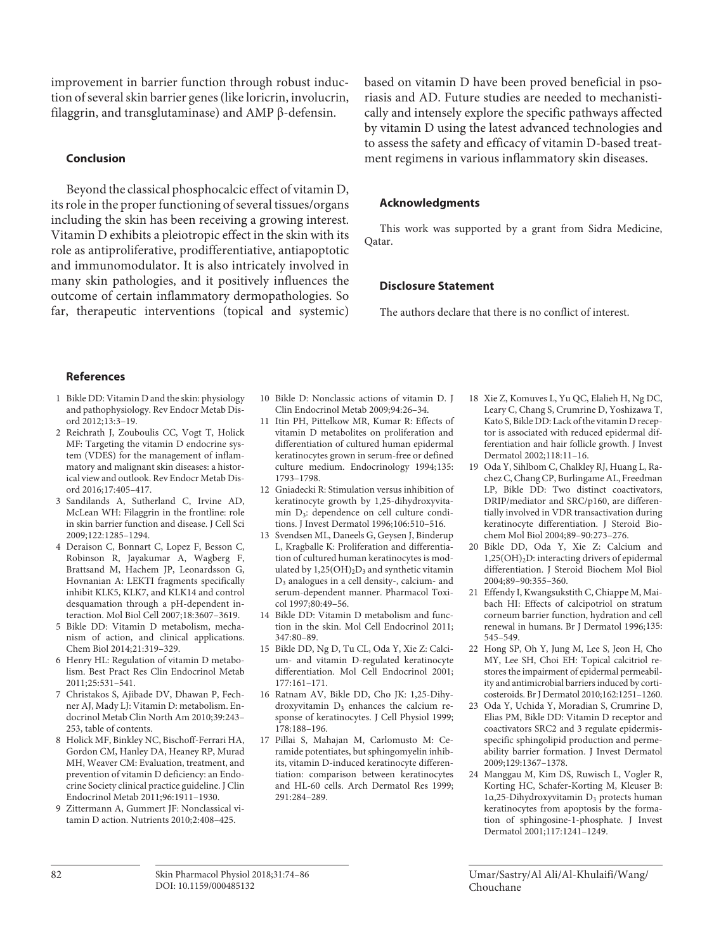improvement in barrier function through robust induction of several skin barrier genes (like loricrin, involucrin, filaggrin, and transglutaminase) and AMP β-defensin.

#### **Conclusion**

Beyond the classical phosphocalcic effect of vitamin D, its role in the proper functioning of several tissues/organs including the skin has been receiving a growing interest. Vitamin D exhibits a pleiotropic effect in the skin with its role as antiproliferative, prodifferentiative, antiapoptotic and immunomodulator. It is also intricately involved in many skin pathologies, and it positively influences the outcome of certain inflammatory dermopathologies. So far, therapeutic interventions (topical and systemic) based on vitamin D have been proved beneficial in psoriasis and AD. Future studies are needed to mechanistically and intensely explore the specific pathways affected by vitamin D using the latest advanced technologies and to assess the safety and efficacy of vitamin D-based treatment regimens in various inflammatory skin diseases.

#### **Acknowledgments**

This work was supported by a grant from Sidra Medicine, Qatar.

#### **Disclosure Statement**

The authors declare that there is no conflict of interest.

#### **References**

- 1 Bikle DD: Vitamin D and the skin: physiology and pathophysiology. Rev Endocr Metab Disord 2012;13:3–19.
- 2 Reichrath J, Zouboulis CC, Vogt T, Holick MF: Targeting the vitamin D endocrine system (VDES) for the management of inflammatory and malignant skin diseases: a historical view and outlook. Rev Endocr Metab Disord 2016;17:405–417.
- 3 Sandilands A, Sutherland C, Irvine AD, McLean WH: Filaggrin in the frontline: role in skin barrier function and disease. J Cell Sci 2009;122:1285–1294.
- 4 Deraison C, Bonnart C, Lopez F, Besson C, Robinson R, Jayakumar A, Wagberg F, Brattsand M, Hachem JP, Leonardsson G, Hovnanian A: LEKTI fragments specifically inhibit KLK5, KLK7, and KLK14 and control desquamation through a pH-dependent interaction. Mol Biol Cell 2007;18:3607–3619.
- 5 Bikle DD: Vitamin D metabolism, mechanism of action, and clinical applications. Chem Biol 2014;21:319–329.
- 6 Henry HL: Regulation of vitamin D metabolism. Best Pract Res Clin Endocrinol Metab 2011;25:531–541.
- 7 Christakos S, Ajibade DV, Dhawan P, Fechner AJ, Mady LJ: Vitamin D: metabolism. Endocrinol Metab Clin North Am 2010;39:243– 253, table of contents.
- 8 Holick MF, Binkley NC, Bischoff-Ferrari HA, Gordon CM, Hanley DA, Heaney RP, Murad MH, Weaver CM: Evaluation, treatment, and prevention of vitamin D deficiency: an Endocrine Society clinical practice guideline. J Clin Endocrinol Metab 2011;96:1911–1930.
- 9 Zittermann A, Gummert JF: Nonclassical vitamin D action. Nutrients 2010;2:408–425.
- 10 Bikle D: Nonclassic actions of vitamin D. J Clin Endocrinol Metab 2009;94:26–34.
- 11 Itin PH, Pittelkow MR, Kumar R: Effects of vitamin D metabolites on proliferation and differentiation of cultured human epidermal keratinocytes grown in serum-free or defined culture medium. Endocrinology 1994;135: 1793–1798.
- 12 Gniadecki R: Stimulation versus inhibition of keratinocyte growth by 1,25-dihydroxyvitamin D<sub>3</sub>: dependence on cell culture conditions. J Invest Dermatol 1996;106:510–516.
- 13 Svendsen ML, Daneels G, Geysen J, Binderup L, Kragballe K: Proliferation and differentiation of cultured human keratinocytes is modulated by  $1,25(OH)_{2}D_{3}$  and synthetic vitamin D3 analogues in a cell density-, calcium- and serum-dependent manner. Pharmacol Toxicol 1997;80:49–56.
- 14 Bikle DD: Vitamin D metabolism and function in the skin. Mol Cell Endocrinol 2011; 347:80–89.
- 15 Bikle DD, Ng D, Tu CL, Oda Y, Xie Z: Calcium- and vitamin D-regulated keratinocyte differentiation. Mol Cell Endocrinol 2001; 177:161–171.
- 16 Ratnam AV, Bikle DD, Cho JK: 1,25-Dihydroxyvitamin  $D_3$  enhances the calcium response of keratinocytes. J Cell Physiol 1999; 178:188–196.
- 17 Pillai S, Mahajan M, Carlomusto M: Ceramide potentiates, but sphingomyelin inhibits, vitamin D-induced keratinocyte differentiation: comparison between keratinocytes and HL-60 cells. Arch Dermatol Res 1999; 291:284–289.
- 18 Xie Z, Komuves L, Yu QC, Elalieh H, Ng DC, Leary C, Chang S, Crumrine D, Yoshizawa T, Kato S, Bikle DD: Lack of the vitamin D receptor is associated with reduced epidermal differentiation and hair follicle growth. J Invest Dermatol 2002;118:11–16.
- 19 Oda Y, Sihlbom C, Chalkley RJ, Huang L, Rachez C, Chang CP, Burlingame AL, Freedman LP, Bikle DD: Two distinct coactivators, DRIP/mediator and SRC/p160, are differentially involved in VDR transactivation during keratinocyte differentiation. J Steroid Biochem Mol Biol 2004;89–90:273–276.
- 20 Bikle DD, Oda Y, Xie Z: Calcium and  $1,25(OH)_{2}D$ : interacting drivers of epidermal differentiation. J Steroid Biochem Mol Biol 2004;89–90:355–360.
- 21 Effendy I, Kwangsukstith C, Chiappe M, Maibach HI: Effects of calcipotriol on stratum corneum barrier function, hydration and cell renewal in humans. Br J Dermatol 1996;135: 545–549.
- 22 Hong SP, Oh Y, Jung M, Lee S, Jeon H, Cho MY, Lee SH, Choi EH: Topical calcitriol restores the impairment of epidermal permeability and antimicrobial barriers induced by corticosteroids. Br J Dermatol 2010;162:1251–1260.
- 23 Oda Y, Uchida Y, Moradian S, Crumrine D, Elias PM, Bikle DD: Vitamin D receptor and coactivators SRC2 and 3 regulate epidermisspecific sphingolipid production and permeability barrier formation. J Invest Dermatol 2009;129:1367–1378.
- 24 Manggau M, Kim DS, Ruwisch L, Vogler R, Korting HC, Schafer-Korting M, Kleuser B: 1α,25-Dihydroxyvitamin D3 protects human keratinocytes from apoptosis by the formation of sphingosine-1-phosphate. J Invest Dermatol 2001;117:1241–1249.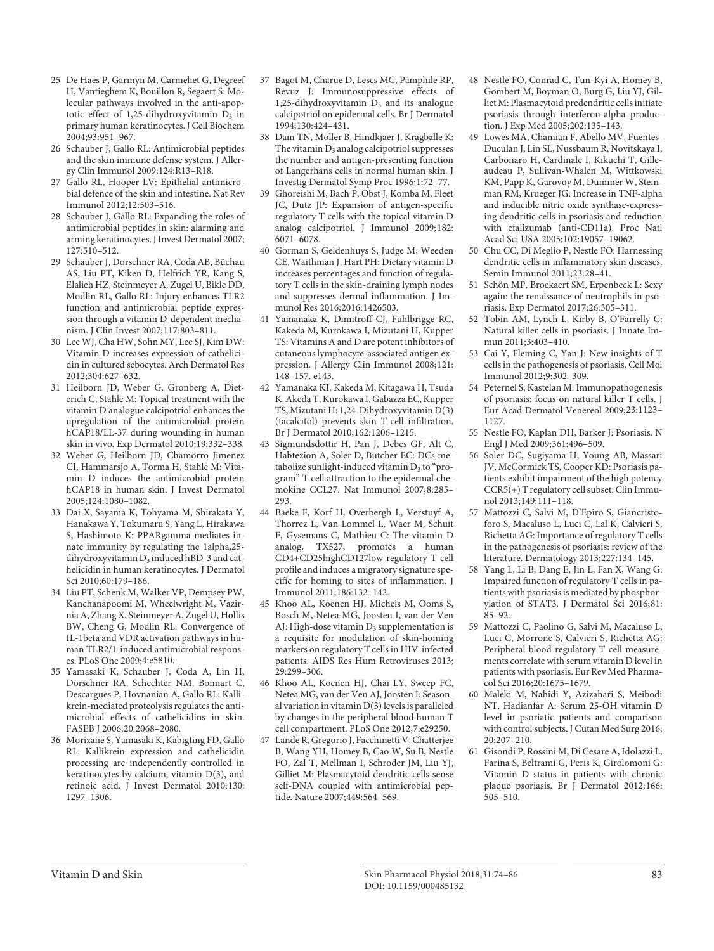- 25 De Haes P, Garmyn M, Carmeliet G, Degreef H, Vantieghem K, Bouillon R, Segaert S: Molecular pathways involved in the anti-apoptotic effect of 1,25-dihydroxyvitamin  $\overline{D_3}$  in primary human keratinocytes. J Cell Biochem 2004;93:951–967.
- 26 Schauber J, Gallo RL: Antimicrobial peptides and the skin immune defense system. J Allergy Clin Immunol 2009;124:R13–R18.
- Gallo RL, Hooper LV: Epithelial antimicrobial defence of the skin and intestine. Nat Rev Immunol 2012;12:503–516.
- 28 Schauber J, Gallo RL: Expanding the roles of antimicrobial peptides in skin: alarming and arming keratinocytes. J Invest Dermatol 2007; 127:510–512.
- 29 Schauber J, Dorschner RA, Coda AB, Büchau AS, Liu PT, Kiken D, Helfrich YR, Kang S, Elalieh HZ, Steinmeyer A, Zugel U, Bikle DD, Modlin RL, Gallo RL: Injury enhances TLR2 function and antimicrobial peptide expression through a vitamin D-dependent mechanism. J Clin Invest 2007;117:803–811.
- 30 Lee WJ, Cha HW, Sohn MY, Lee SJ, Kim DW: Vitamin D increases expression of cathelicidin in cultured sebocytes. Arch Dermatol Res 2012;304:627–632.
- 31 Heilborn JD, Weber G, Gronberg A, Dieterich C, Stahle M: Topical treatment with the vitamin D analogue calcipotriol enhances the upregulation of the antimicrobial protein hCAP18/LL-37 during wounding in human skin in vivo. Exp Dermatol 2010;19:332–338.
- 32 Weber G, Heilborn JD, Chamorro Jimenez CI, Hammarsjo A, Torma H, Stahle M: Vitamin D induces the antimicrobial protein hCAP18 in human skin. J Invest Dermatol 2005;124:1080–1082.
- 33 Dai X, Sayama K, Tohyama M, Shirakata Y, Hanakawa Y, Tokumaru S, Yang L, Hirakawa S, Hashimoto K: PPARgamma mediates innate immunity by regulating the 1alpha,25 dihydroxyvitamin  $D_3$  induced hBD-3 and cathelicidin in human keratinocytes. J Dermatol Sci 2010;60:179–186.
- 34 Liu PT, Schenk M, Walker VP, Dempsey PW, Kanchanapoomi M, Wheelwright M, Vazirnia A, Zhang X, Steinmeyer A, Zugel U, Hollis BW, Cheng G, Modlin RL: Convergence of IL-1beta and VDR activation pathways in human TLR2/1-induced antimicrobial responses. PLoS One 2009;4:e5810.
- 35 Yamasaki K, Schauber J, Coda A, Lin H, Dorschner RA, Schechter NM, Bonnart C, Descargues P, Hovnanian A, Gallo RL: Kallikrein-mediated proteolysis regulates the antimicrobial effects of cathelicidins in skin. FASEB J 2006;20:2068–2080.
- 36 Morizane S, Yamasaki K, Kabigting FD, Gallo RL: Kallikrein expression and cathelicidin processing are independently controlled in keratinocytes by calcium, vitamin D(3), and retinoic acid. J Invest Dermatol 2010;130: 1297–1306.
- 37 Bagot M, Charue D, Lescs MC, Pamphile RP, Revuz J: Immunosuppressive effects of 1,25-dihydroxyvitamin  $D_3$  and its analogue calcipotriol on epidermal cells. Br J Dermatol 1994;130:424–431.
- 38 Dam TN, Moller B, Hindkjaer J, Kragballe K: The vitamin  $D_3$  analog calcipotriol suppresses the number and antigen-presenting function of Langerhans cells in normal human skin. J Investig Dermatol Symp Proc 1996;1:72–77.
- 39 Ghoreishi M, Bach P, Obst J, Komba M, Fleet JC, Dutz JP: Expansion of antigen-specific regulatory T cells with the topical vitamin D analog calcipotriol. J Immunol 2009;182: 6071–6078.
- 40 Gorman S, Geldenhuys S, Judge M, Weeden CE, Waithman J, Hart PH: Dietary vitamin D increases percentages and function of regulatory T cells in the skin-draining lymph nodes and suppresses dermal inflammation. J Immunol Res 2016;2016:1426503.
- 41 Yamanaka K, Dimitroff CJ, Fuhlbrigge RC, Kakeda M, Kurokawa I, Mizutani H, Kupper TS: Vitamins A and D are potent inhibitors of cutaneous lymphocyte-associated antigen expression. J Allergy Clin Immunol 2008;121: 148–157. e143.
- 42 Yamanaka KI, Kakeda M, Kitagawa H, Tsuda K, Akeda T, Kurokawa I, Gabazza EC, Kupper TS, Mizutani H: 1,24-Dihydroxyvitamin D(3) (tacalcitol) prevents skin T-cell infiltration. Br J Dermatol 2010;162:1206–1215.
- 43 Sigmundsdottir H, Pan J, Debes GF, Alt C, Habtezion A, Soler D, Butcher EC: DCs metabolize sunlight-induced vitamin  $D_3$  to "program" T cell attraction to the epidermal chemokine CCL27. Nat Immunol 2007;8:285– 293.
- 44 Baeke F, Korf H, Overbergh L, Verstuyf A, Thorrez L, Van Lommel L, Waer M, Schuit F, Gysemans C, Mathieu C: The vitamin D analog, TX527, promotes a human CD4+CD25highCD127low regulatory T cell profile and induces a migratory signature specific for homing to sites of inflammation. J Immunol 2011;186:132–142.
- 45 Khoo AL, Koenen HJ, Michels M, Ooms S, Bosch M, Netea MG, Joosten I, van der Ven AJ: High-dose vitamin  $D_3$  supplementation is a requisite for modulation of skin-homing markers on regulatory T cells in HIV-infected patients. AIDS Res Hum Retroviruses 2013; 29:299–306.
- 46 Khoo AL, Koenen HJ, Chai LY, Sweep FC, Netea MG, van der Ven AJ, Joosten I: Seasonal variation in vitamin D(3) levels is paralleled by changes in the peripheral blood human T cell compartment. PLoS One 2012;7:e29250.
- 47 Lande R, Gregorio J, Facchinetti V, Chatterjee B, Wang YH, Homey B, Cao W, Su B, Nestle FO, Zal T, Mellman I, Schroder JM, Liu YJ, Gilliet M: Plasmacytoid dendritic cells sense self-DNA coupled with antimicrobial peptide. Nature 2007;449:564–569.
- 48 Nestle FO, Conrad C, Tun-Kyi A, Homey B, Gombert M, Boyman O, Burg G, Liu YJ, Gilliet M: Plasmacytoid predendritic cells initiate psoriasis through interferon-alpha production. J Exp Med 2005;202:135–143.
- 49 Lowes MA, Chamian F, Abello MV, Fuentes-Duculan J, Lin SL, Nussbaum R, Novitskaya I, Carbonaro H, Cardinale I, Kikuchi T, Gilleaudeau P, Sullivan-Whalen M, Wittkowski KM, Papp K, Garovoy M, Dummer W, Steinman RM, Krueger JG: Increase in TNF-alpha and inducible nitric oxide synthase-expressing dendritic cells in psoriasis and reduction with efalizumab (anti-CD11a). Proc Natl Acad Sci USA 2005;102:19057–19062.
- 50 Chu CC, Di Meglio P, Nestle FO: Harnessing dendritic cells in inflammatory skin diseases. Semin Immunol 2011;23:28–41.
- 51 Schön MP, Broekaert SM, Erpenbeck L: Sexy again: the renaissance of neutrophils in psoriasis. Exp Dermatol 2017;26:305–311.
- 52 Tobin AM, Lynch L, Kirby B, O'Farrelly C: Natural killer cells in psoriasis. J Innate Immun 2011;3:403–410.
- 53 Cai Y, Fleming C, Yan J: New insights of T cells in the pathogenesis of psoriasis. Cell Mol Immunol 2012;9:302–309.
- 54 Peternel S, Kastelan M: Immunopathogenesis of psoriasis: focus on natural killer T cells. J Eur Acad Dermatol Venereol 2009;23:1123– 1127.
- 55 Nestle FO, Kaplan DH, Barker J: Psoriasis. N Engl J Med 2009;361:496–509.
- 56 Soler DC, Sugiyama H, Young AB, Massari JV, McCormick TS, Cooper KD: Psoriasis patients exhibit impairment of the high potency CCR5(+) T regulatory cell subset. Clin Immunol 2013;149:111–118.
- 57 Mattozzi C, Salvi M, D'Epiro S, Giancristoforo S, Macaluso L, Luci C, Lal K, Calvieri S, Richetta AG: Importance of regulatory T cells in the pathogenesis of psoriasis: review of the literature. Dermatology 2013;227:134–145.
- 58 Yang L, Li B, Dang E, Jin L, Fan X, Wang G: Impaired function of regulatory T cells in patients with psoriasis is mediated by phosphorylation of STAT3. J Dermatol Sci 2016;81: 85–92.
- 59 Mattozzi C, Paolino G, Salvi M, Macaluso L, Luci C, Morrone S, Calvieri S, Richetta AG: Peripheral blood regulatory T cell measurements correlate with serum vitamin D level in patients with psoriasis. Eur Rev Med Pharmacol Sci 2016;20:1675–1679.
- 60 Maleki M, Nahidi Y, Azizahari S, Meibodi NT, Hadianfar A: Serum 25-OH vitamin D level in psoriatic patients and comparison with control subjects. J Cutan Med Surg 2016;  $20:207 - 210$ .
- 61 Gisondi P, Rossini M, Di Cesare A, Idolazzi L, Farina S, Beltrami G, Peris K, Girolomoni G: Vitamin D status in patients with chronic plaque psoriasis. Br J Dermatol 2012;166: 505–510.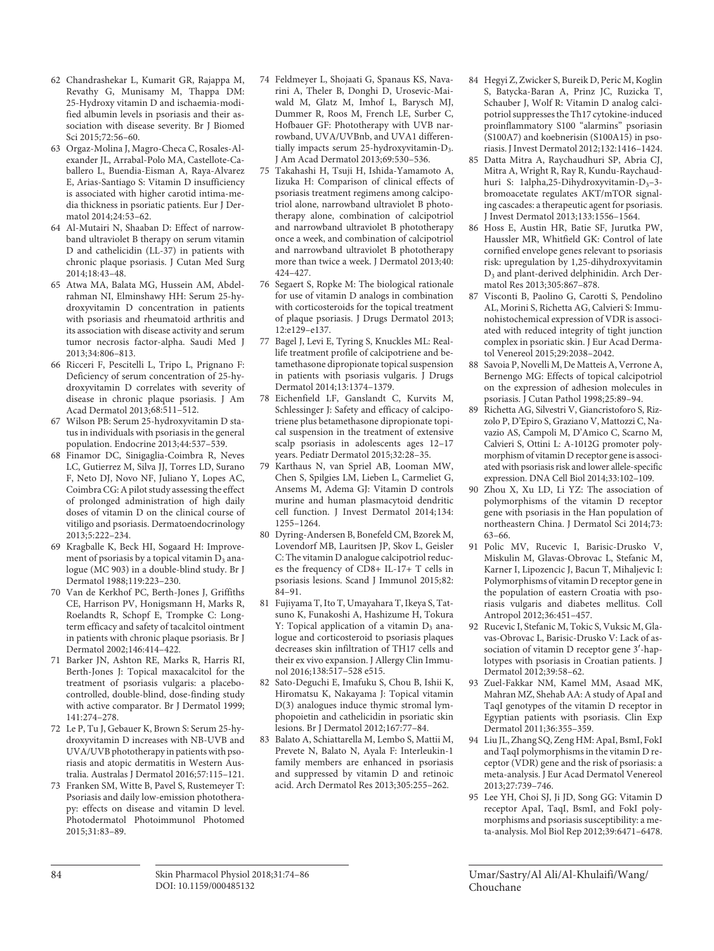- 62 Chandrashekar L, Kumarit GR, Rajappa M, Revathy G, Munisamy M, Thappa DM: 25-Hydroxy vitamin D and ischaemia-modified albumin levels in psoriasis and their association with disease severity. Br J Biomed Sci 2015;72:56–60.
- 63 Orgaz-Molina J, Magro-Checa C, Rosales-Alexander JL, Arrabal-Polo MA, Castellote-Caballero L, Buendia-Eisman A, Raya-Alvarez E, Arias-Santiago S: Vitamin D insufficiency is associated with higher carotid intima-media thickness in psoriatic patients. Eur J Dermatol 2014;24:53–62.
- 64 Al-Mutairi N, Shaaban D: Effect of narrowband ultraviolet B therapy on serum vitamin D and cathelicidin (LL-37) in patients with chronic plaque psoriasis. J Cutan Med Surg 2014;18:43–48.
- 65 Atwa MA, Balata MG, Hussein AM, Abdelrahman NI, Elminshawy HH: Serum 25-hydroxyvitamin D concentration in patients with psoriasis and rheumatoid arthritis and its association with disease activity and serum tumor necrosis factor-alpha. Saudi Med J 2013;34:806–813.
- 66 Ricceri F, Pescitelli L, Tripo L, Prignano F: Deficiency of serum concentration of 25-hydroxyvitamin D correlates with severity of disease in chronic plaque psoriasis. J Am Acad Dermatol 2013;68:511–512.
- 67 Wilson PB: Serum 25-hydroxyvitamin D status in individuals with psoriasis in the general population. Endocrine 2013;44:537–539.
- 68 Finamor DC, Sinigaglia-Coimbra R, Neves LC, Gutierrez M, Silva JJ, Torres LD, Surano F, Neto DJ, Novo NF, Juliano Y, Lopes AC, Coimbra CG: A pilot study assessing the effect of prolonged administration of high daily doses of vitamin D on the clinical course of vitiligo and psoriasis. Dermatoendocrinology 2013;5:222–234.
- 69 Kragballe K, Beck HI, Sogaard H: Improvement of psoriasis by a topical vitamin  $\overline{D}_3$  analogue (MC 903) in a double-blind study. Br J Dermatol 1988;119:223–230.
- 70 Van de Kerkhof PC, Berth-Jones J, Griffiths CE, Harrison PV, Honigsmann H, Marks R, Roelandts R, Schopf E, Trompke C: Longterm efficacy and safety of tacalcitol ointment in patients with chronic plaque psoriasis. Br J Dermatol 2002;146:414–422.
- 71 Barker JN, Ashton RE, Marks R, Harris RI, Berth-Jones J: Topical maxacalcitol for the treatment of psoriasis vulgaris: a placebocontrolled, double-blind, dose-finding study with active comparator. Br J Dermatol 1999; 141:274–278.
- 72 Le P, Tu J, Gebauer K, Brown S: Serum 25-hydroxyvitamin D increases with NB-UVB and UVA/UVB phototherapy in patients with psoriasis and atopic dermatitis in Western Australia. Australas J Dermatol 2016;57:115–121.
- 73 Franken SM, Witte B, Pavel S, Rustemeyer T: Psoriasis and daily low-emission phototherapy: effects on disease and vitamin D level. Photodermatol Photoimmunol Photomed 2015;31:83–89.
- 74 Feldmeyer L, Shojaati G, Spanaus KS, Navarini A, Theler B, Donghi D, Urosevic-Maiwald M, Glatz M, Imhof L, Barysch MJ, Dummer R, Roos M, French LE, Surber C, Hofbauer GF: Phototherapy with UVB narrowband, UVA/UVBnb, and UVA1 differentially impacts serum 25-hydroxyvitamin-D<sub>3</sub>. J Am Acad Dermatol 2013;69:530–536.
- 75 Takahashi H, Tsuji H, Ishida-Yamamoto A, Iizuka H: Comparison of clinical effects of psoriasis treatment regimens among calcipotriol alone, narrowband ultraviolet B phototherapy alone, combination of calcipotriol and narrowband ultraviolet B phototherapy once a week, and combination of calcipotriol and narrowband ultraviolet B phototherapy more than twice a week. J Dermatol 2013;40: 424–427.
- 76 Segaert S, Ropke M: The biological rationale for use of vitamin D analogs in combination with corticosteroids for the topical treatment of plaque psoriasis. J Drugs Dermatol 2013; 12:e129–e137.
- 77 Bagel J, Levi E, Tyring S, Knuckles ML: Reallife treatment profile of calcipotriene and betamethasone dipropionate topical suspension in patients with psoriasis vulgaris. J Drugs Dermatol 2014;13:1374–1379.
- 78 Eichenfield LF, Ganslandt C, Kurvits M, Schlessinger J: Safety and efficacy of calcipotriene plus betamethasone dipropionate topical suspension in the treatment of extensive scalp psoriasis in adolescents ages 12–17 years. Pediatr Dermatol 2015;32:28–35.
- 79 Karthaus N, van Spriel AB, Looman MW, Chen S, Spilgies LM, Lieben L, Carmeliet G, Ansems M, Adema GJ: Vitamin D controls murine and human plasmacytoid dendritic cell function. J Invest Dermatol 2014;134: 1255–1264.
- 80 Dyring-Andersen B, Bonefeld CM, Bzorek M, Lovendorf MB, Lauritsen JP, Skov L, Geisler C: The vitamin D analogue calcipotriol reduces the frequency of CD8+ IL-17+ T cells in psoriasis lesions. Scand J Immunol 2015;82: 84–91.
- 81 Fujiyama T, Ito T, Umayahara T, Ikeya S, Tatsuno K, Funakoshi A, Hashizume H, Tokura Y: Topical application of a vitamin  $D_3$  analogue and corticosteroid to psoriasis plaques decreases skin infiltration of TH17 cells and their ex vivo expansion. J Allergy Clin Immunol 2016;138:517–528 e515.
- 82 Sato-Deguchi E, Imafuku S, Chou B, Ishii K, Hiromatsu K, Nakayama J: Topical vitamin D(3) analogues induce thymic stromal lymphopoietin and cathelicidin in psoriatic skin lesions. Br J Dermatol 2012;167:77–84.
- 83 Balato A, Schiattarella M, Lembo S, Mattii M, Prevete N, Balato N, Ayala F: Interleukin-1 family members are enhanced in psoriasis and suppressed by vitamin D and retinoic acid. Arch Dermatol Res 2013;305:255–262.
- 84 Hegyi Z, Zwicker S, Bureik D, Peric M, Koglin S, Batycka-Baran A, Prinz JC, Ruzicka T, Schauber J, Wolf R: Vitamin D analog calcipotriol suppresses the Th17 cytokine-induced proinflammatory S100 "alarmins" psoriasin (S100A7) and koebnerisin (S100A15) in psoriasis. J Invest Dermatol 2012;132:1416–1424.
- 85 Datta Mitra A, Raychaudhuri SP, Abria CJ, Mitra A, Wright R, Ray R, Kundu-Raychaudhuri S: 1alpha,25-Dihydroxyvitamin-D<sub>3</sub>-3bromoacetate regulates AKT/mTOR signaling cascades: a therapeutic agent for psoriasis. J Invest Dermatol 2013;133:1556–1564.
- 86 Hoss E, Austin HR, Batie SF, Jurutka PW, Haussler MR, Whitfield GK: Control of late cornified envelope genes relevant to psoriasis risk: upregulation by 1,25-dihydroxyvitamin D3 and plant-derived delphinidin. Arch Dermatol Res 2013;305:867–878.
- 87 Visconti B, Paolino G, Carotti S, Pendolino AL, Morini S, Richetta AG, Calvieri S: Immunohistochemical expression of VDR is associated with reduced integrity of tight junction complex in psoriatic skin. J Eur Acad Dermatol Venereol 2015;29:2038–2042.
- 88 Savoia P, Novelli M, De Matteis A, Verrone A, Bernengo MG: Effects of topical calcipotriol on the expression of adhesion molecules in psoriasis. J Cutan Pathol 1998;25:89–94.
- 89 Richetta AG, Silvestri V, Giancristoforo S, Rizzolo P, D'Epiro S, Graziano V, Mattozzi C, Navazio AS, Campoli M, D'Amico C, Scarno M, Calvieri S, Ottini L: A-1012G promoter polymorphism of vitamin D receptor gene is associated with psoriasis risk and lower allele-specific expression. DNA Cell Biol 2014;33:102–109.
- 90 Zhou X, Xu LD, Li YZ: The association of polymorphisms of the vitamin D receptor gene with psoriasis in the Han population of northeastern China. J Dermatol Sci 2014;73: 63–66.
- 91 Polic MV, Rucevic I, Barisic-Drusko V, Miskulin M, Glavas-Obrovac L, Stefanic M, Karner I, Lipozencic J, Bacun T, Mihaljevic I: Polymorphisms of vitamin D receptor gene in the population of eastern Croatia with psoriasis vulgaris and diabetes mellitus. Coll Antropol 2012;36:451–457.
- 92 Rucevic I, Stefanic M, Tokic S, Vuksic M, Glavas-Obrovac L, Barisic-Drusko V: Lack of association of vitamin D receptor gene 3′-haplotypes with psoriasis in Croatian patients. J Dermatol 2012;39:58–62.
- 93 Zuel-Fakkar NM, Kamel MM, Asaad MK, Mahran MZ, Shehab AA: A study of ApaI and TaqI genotypes of the vitamin D receptor in Egyptian patients with psoriasis. Clin Exp Dermatol 2011;36:355–359.
- 94 Liu JL, Zhang SQ, Zeng HM: ApaI, BsmI, FokI and TaqI polymorphisms in the vitamin D receptor (VDR) gene and the risk of psoriasis: a meta-analysis. J Eur Acad Dermatol Venereol 2013;27:739–746.
- 95 Lee YH, Choi SJ, Ji JD, Song GG: Vitamin D receptor ApaI, TaqI, BsmI, and FokI polymorphisms and psoriasis susceptibility: a meta-analysis. Mol Biol Rep 2012;39:6471–6478.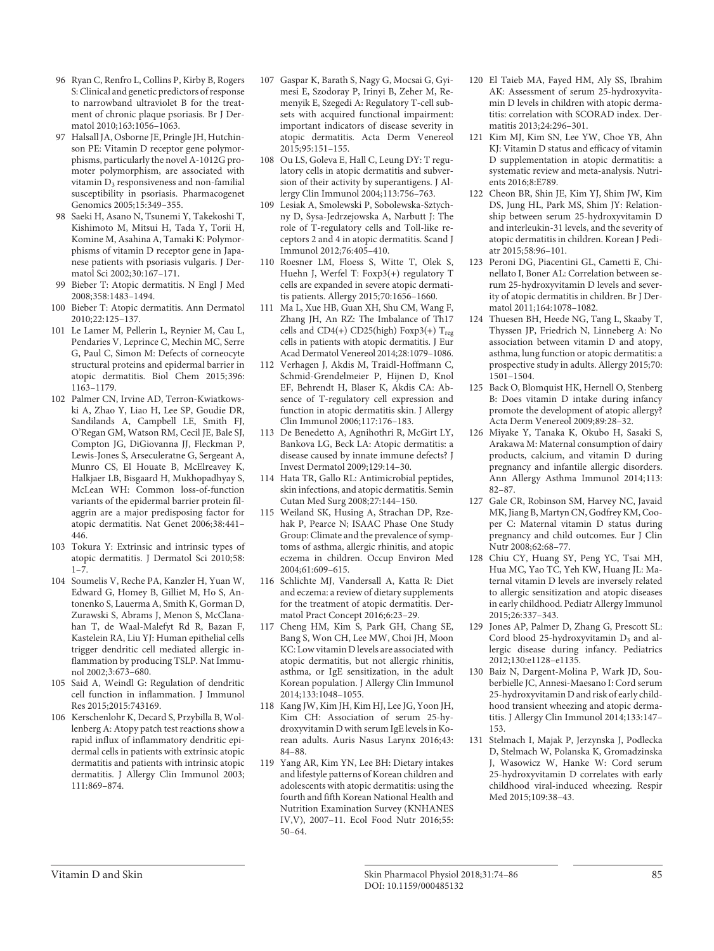- 96 Ryan C, Renfro L, Collins P, Kirby B, Rogers S: Clinical and genetic predictors of response to narrowband ultraviolet B for the treatment of chronic plaque psoriasis. Br J Dermatol 2010;163:1056–1063.
- 97 Halsall JA, Osborne JE, Pringle JH, Hutchinson PE: Vitamin D receptor gene polymorphisms, particularly the novel A-1012G promoter polymorphism, are associated with vitamin  $D_3$  responsiveness and non-familial susceptibility in psoriasis. Pharmacogenet Genomics 2005;15:349–355.
- 98 Saeki H, Asano N, Tsunemi Y, Takekoshi T, Kishimoto M, Mitsui H, Tada Y, Torii H, Komine M, Asahina A, Tamaki K: Polymorphisms of vitamin D receptor gene in Japanese patients with psoriasis vulgaris. J Dermatol Sci 2002;30:167–171.
- Bieber T: Atopic dermatitis. N Engl J Med 2008;358:1483–1494.
- 100 Bieber T: Atopic dermatitis. Ann Dermatol 2010;22:125–137.
- 101 Le Lamer M, Pellerin L, Reynier M, Cau L, Pendaries V, Leprince C, Mechin MC, Serre G, Paul C, Simon M: Defects of corneocyte structural proteins and epidermal barrier in atopic dermatitis. Biol Chem 2015;396: 1163–1179.
- 102 Palmer CN, Irvine AD, Terron-Kwiatkowski A, Zhao Y, Liao H, Lee SP, Goudie DR, Sandilands A, Campbell LE, Smith FJ, O'Regan GM, Watson RM, Cecil JE, Bale SJ, Compton JG, DiGiovanna JJ, Fleckman P, Lewis-Jones S, Arseculeratne G, Sergeant A, Munro CS, El Houate B, McElreavey K, Halkjaer LB, Bisgaard H, Mukhopadhyay S, McLean WH: Common loss-of-function variants of the epidermal barrier protein filaggrin are a major predisposing factor for atopic dermatitis. Nat Genet 2006;38:441– 446.
- 103 Tokura Y: Extrinsic and intrinsic types of atopic dermatitis. J Dermatol Sci 2010;58:  $1 - 7$ .
- 104 Soumelis V, Reche PA, Kanzler H, Yuan W, Edward G, Homey B, Gilliet M, Ho S, Antonenko S, Lauerma A, Smith K, Gorman D, Zurawski S, Abrams J, Menon S, McClanahan T, de Waal-Malefyt Rd R, Bazan F, Kastelein RA, Liu YJ: Human epithelial cells trigger dendritic cell mediated allergic inflammation by producing TSLP. Nat Immunol 2002;3:673–680.
- 105 Said A, Weindl G: Regulation of dendritic cell function in inflammation. J Immunol Res 2015;2015:743169.
- 106 Kerschenlohr K, Decard S, Przybilla B, Wollenberg A: Atopy patch test reactions show a rapid influx of inflammatory dendritic epidermal cells in patients with extrinsic atopic dermatitis and patients with intrinsic atopic dermatitis. J Allergy Clin Immunol 2003; 111:869–874.
- 107 Gaspar K, Barath S, Nagy G, Mocsai G, Gyimesi E, Szodoray P, Irinyi B, Zeher M, Remenyik E, Szegedi A: Regulatory T-cell subsets with acquired functional impairment: important indicators of disease severity in atopic dermatitis. Acta Derm Venereol 2015;95:151–155.
- 108 Ou LS, Goleva E, Hall C, Leung DY: T regulatory cells in atopic dermatitis and subversion of their activity by superantigens. J Allergy Clin Immunol 2004;113:756–763.
- 109 Lesiak A, Smolewski P, Sobolewska-Sztychny D, Sysa-Jedrzejowska A, Narbutt J: The role of T-regulatory cells and Toll-like receptors 2 and 4 in atopic dermatitis. Scand J Immunol 2012;76:405–410.
- 110 Roesner LM, Floess S, Witte T, Olek S, Huehn J, Werfel T: Foxp3(+) regulatory T cells are expanded in severe atopic dermatitis patients. Allergy 2015;70:1656–1660.
- 111 Ma L, Xue HB, Guan XH, Shu CM, Wang F, Zhang JH, An RZ: The Imbalance of Th17 cells and CD4(+) CD25(high) Foxp3(+)  $T_{reg}$ cells in patients with atopic dermatitis. J Eur Acad Dermatol Venereol 2014;28:1079–1086.
- 112 Verhagen J, Akdis M, Traidl-Hoffmann C, Schmid-Grendelmeier P, Hijnen D, Knol EF, Behrendt H, Blaser K, Akdis CA: Absence of T-regulatory cell expression and function in atopic dermatitis skin. J Allergy Clin Immunol 2006;117:176–183.
- 113 De Benedetto A, Agnihothri R, McGirt LY, Bankova LG, Beck LA: Atopic dermatitis: a disease caused by innate immune defects? J Invest Dermatol 2009;129:14–30.
- 114 Hata TR, Gallo RL: Antimicrobial peptides, skin infections, and atopic dermatitis. Semin Cutan Med Surg 2008;27:144–150.
- 115 Weiland SK, Husing A, Strachan DP, Rzehak P, Pearce N; ISAAC Phase One Study Group: Climate and the prevalence of symptoms of asthma, allergic rhinitis, and atopic eczema in children. Occup Environ Med 2004;61:609–615.
- 116 Schlichte MJ, Vandersall A, Katta R: Diet and eczema: a review of dietary supplements for the treatment of atopic dermatitis. Dermatol Pract Concept 2016;6:23–29.
- 117 Cheng HM, Kim S, Park GH, Chang SE, Bang S, Won CH, Lee MW, Choi JH, Moon KC: Low vitamin D levels are associated with atopic dermatitis, but not allergic rhinitis, asthma, or IgE sensitization, in the adult Korean population. J Allergy Clin Immunol 2014;133:1048–1055.
- 118 Kang JW, Kim JH, Kim HJ, Lee JG, Yoon JH, Kim CH: Association of serum 25-hydroxyvitamin D with serum IgE levels in Korean adults. Auris Nasus Larynx 2016;43: 84–88.
- 119 Yang AR, Kim YN, Lee BH: Dietary intakes and lifestyle patterns of Korean children and adolescents with atopic dermatitis: using the fourth and fifth Korean National Health and Nutrition Examination Survey (KNHANES IV,V), 2007–11. Ecol Food Nutr 2016;55: 50–64.
- 120 El Taieb MA, Fayed HM, Aly SS, Ibrahim AK: Assessment of serum 25-hydroxyvitamin D levels in children with atopic dermatitis: correlation with SCORAD index. Dermatitis 2013;24:296–301.
- 121 Kim MJ, Kim SN, Lee YW, Choe YB, Ahn KJ: Vitamin D status and efficacy of vitamin D supplementation in atopic dermatitis: a systematic review and meta-analysis. Nutrients 2016;8:E789.
- 122 Cheon BR, Shin JE, Kim YJ, Shim JW, Kim DS, Jung HL, Park MS, Shim JY: Relationship between serum 25-hydroxyvitamin D and interleukin-31 levels, and the severity of atopic dermatitis in children. Korean J Pediatr 2015;58:96–101.
- 123 Peroni DG, Piacentini GL, Cametti E, Chinellato I, Boner AL: Correlation between serum 25-hydroxyvitamin D levels and severity of atopic dermatitis in children. Br J Dermatol 2011;164:1078–1082.
- 124 Thuesen BH, Heede NG, Tang L, Skaaby T, Thyssen JP, Friedrich N, Linneberg A: No association between vitamin D and atopy, asthma, lung function or atopic dermatitis: a prospective study in adults. Allergy 2015;70: 1501–1504.
- 125 Back O, Blomquist HK, Hernell O, Stenberg B: Does vitamin D intake during infancy promote the development of atopic allergy? Acta Derm Venereol 2009;89:28–32.
- 126 Miyake Y, Tanaka K, Okubo H, Sasaki S, Arakawa M: Maternal consumption of dairy products, calcium, and vitamin D during pregnancy and infantile allergic disorders. Ann Allergy Asthma Immunol 2014;113: 82–87.
- 127 Gale CR, Robinson SM, Harvey NC, Javaid MK, Jiang B, Martyn CN, Godfrey KM, Cooper C: Maternal vitamin D status during pregnancy and child outcomes. Eur J Clin Nutr 2008;62:68–77.
- 128 Chiu CY, Huang SY, Peng YC, Tsai MH, Hua MC, Yao TC, Yeh KW, Huang JL: Maternal vitamin D levels are inversely related to allergic sensitization and atopic diseases in early childhood. Pediatr Allergy Immunol 2015;26:337–343.
- 129 Jones AP, Palmer D, Zhang G, Prescott SL: Cord blood 25-hydroxyvitamin  $D_3$  and allergic disease during infancy. Pediatrics 2012;130:e1128–e1135.
- 130 Baiz N, Dargent-Molina P, Wark JD, Souberbielle JC, Annesi-Maesano I: Cord serum 25-hydroxyvitamin D and risk of early childhood transient wheezing and atopic dermatitis. J Allergy Clin Immunol 2014;133:147– 153.
- 131 Stelmach I, Majak P, Jerzynska J, Podlecka D, Stelmach W, Polanska K, Gromadzinska J, Wasowicz W, Hanke W: Cord serum 25-hydroxyvitamin D correlates with early childhood viral-induced wheezing. Respir Med 2015;109:38–43.